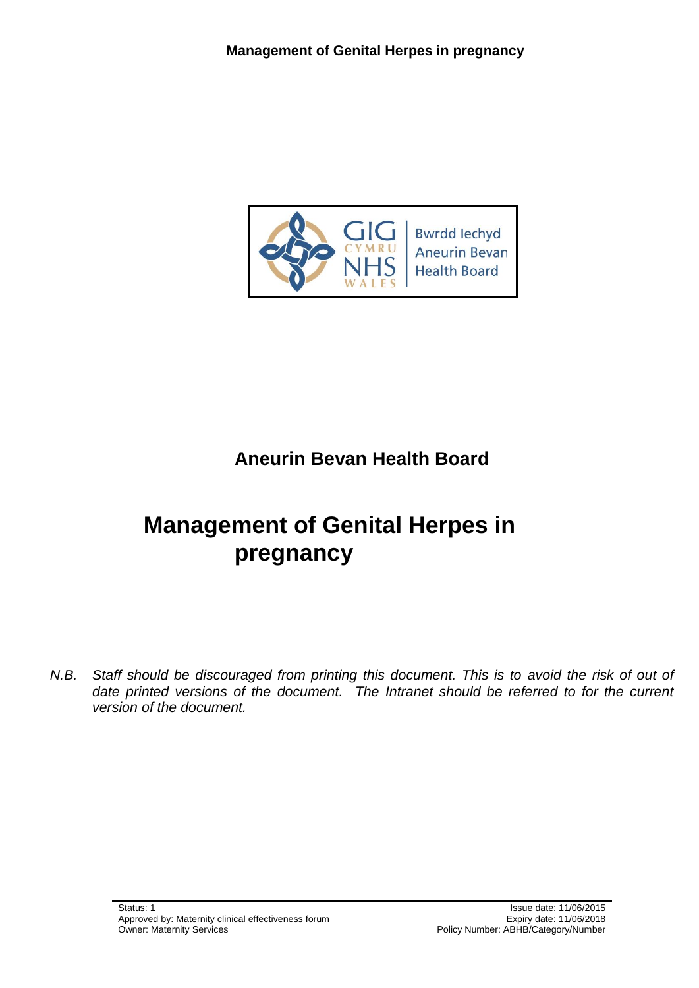

## **Aneurin Bevan Health Board**

# **Management of Genital Herpes in pregnancy**

*N.B. Staff should be discouraged from printing this document. This is to avoid the risk of out of date printed versions of the document. The Intranet should be referred to for the current version of the document.*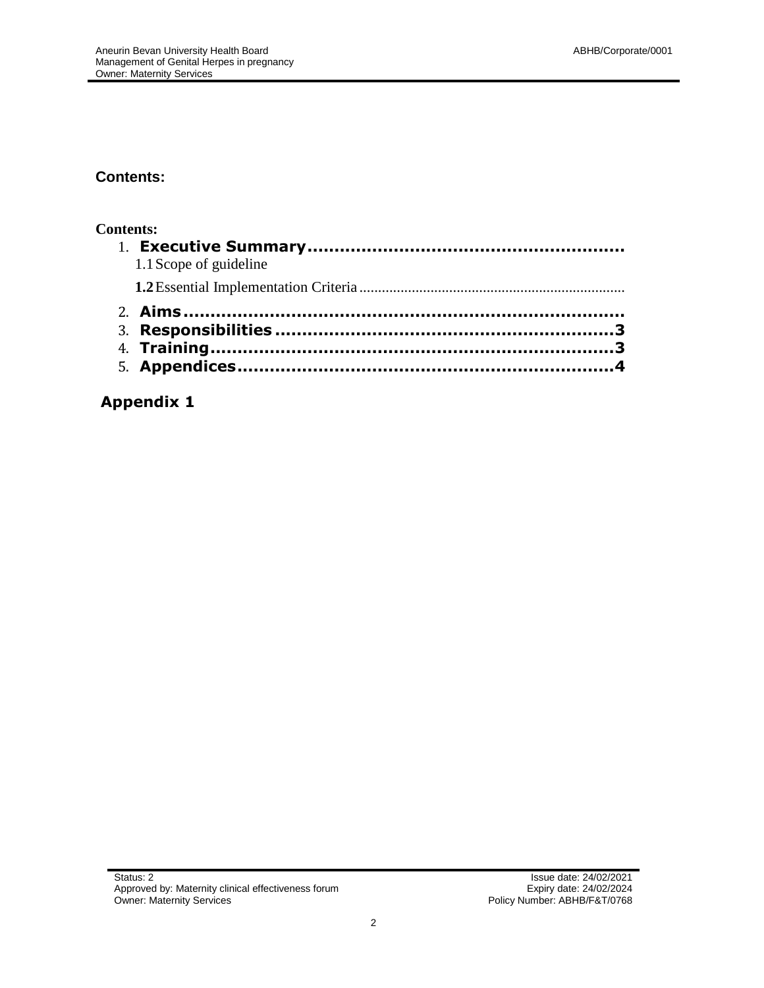#### **Contents:**

#### **Contents:**

| 1.1 Scope of guideline |
|------------------------|
|                        |
|                        |
|                        |
|                        |
|                        |
|                        |

### **Appendix 1**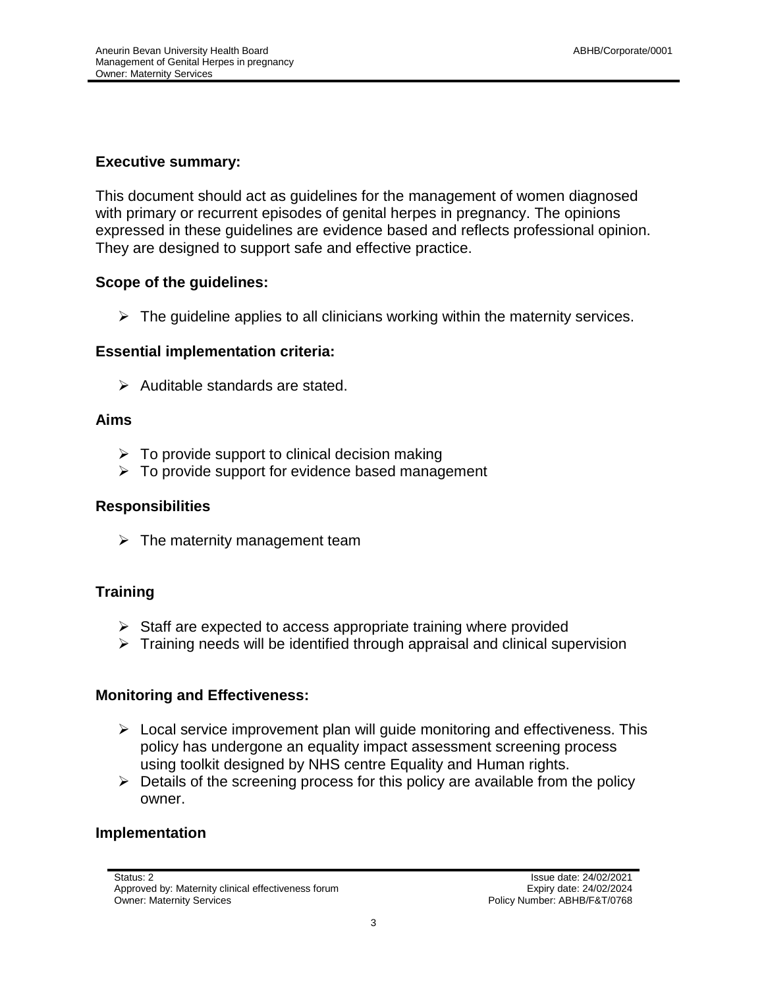#### **Executive summary:**

This document should act as guidelines for the management of women diagnosed with primary or recurrent episodes of genital herpes in pregnancy. The opinions expressed in these guidelines are evidence based and reflects professional opinion. They are designed to support safe and effective practice.

#### **Scope of the guidelines:**

 $\triangleright$  The quideline applies to all clinicians working within the maternity services.

#### **Essential implementation criteria:**

 $\triangleright$  Auditable standards are stated.

#### **Aims**

- $\triangleright$  To provide support to clinical decision making
- $\triangleright$  To provide support for evidence based management

#### **Responsibilities**

 $\triangleright$  The maternity management team

#### **Training**

- $\triangleright$  Staff are expected to access appropriate training where provided
- $\triangleright$  Training needs will be identified through appraisal and clinical supervision

#### **Monitoring and Effectiveness:**

- $\triangleright$  Local service improvement plan will guide monitoring and effectiveness. This policy has undergone an equality impact assessment screening process using toolkit designed by NHS centre Equality and Human rights.
- $\triangleright$  Details of the screening process for this policy are available from the policy owner.

#### **Implementation**

Approved by: Maternity clinical effectiveness forum expirition of the strates of Expiry date: 24/02/2024 Owner: Maternity Services **Policy Number: ABHB/F&T/0768**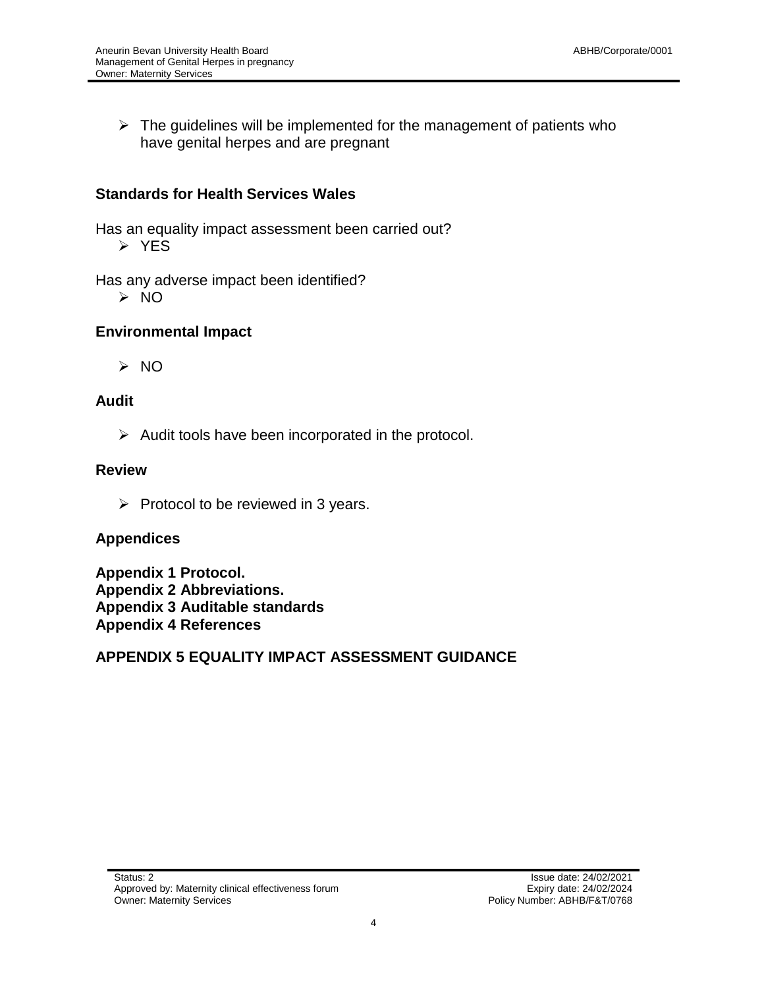$\triangleright$  The guidelines will be implemented for the management of patients who have genital herpes and are pregnant

#### **Standards for Health Services Wales**

Has an equality impact assessment been carried out?

> YES

Has any adverse impact been identified?

NO

#### **Environmental Impact**

 $> NO$ 

#### **Audit**

 $\triangleright$  Audit tools have been incorporated in the protocol.

#### **Review**

 $\triangleright$  Protocol to be reviewed in 3 years.

#### **Appendices**

**Appendix 1 Protocol. Appendix 2 Abbreviations. Appendix 3 Auditable standards Appendix 4 References**

**APPENDIX 5 EQUALITY IMPACT ASSESSMENT GUIDANCE**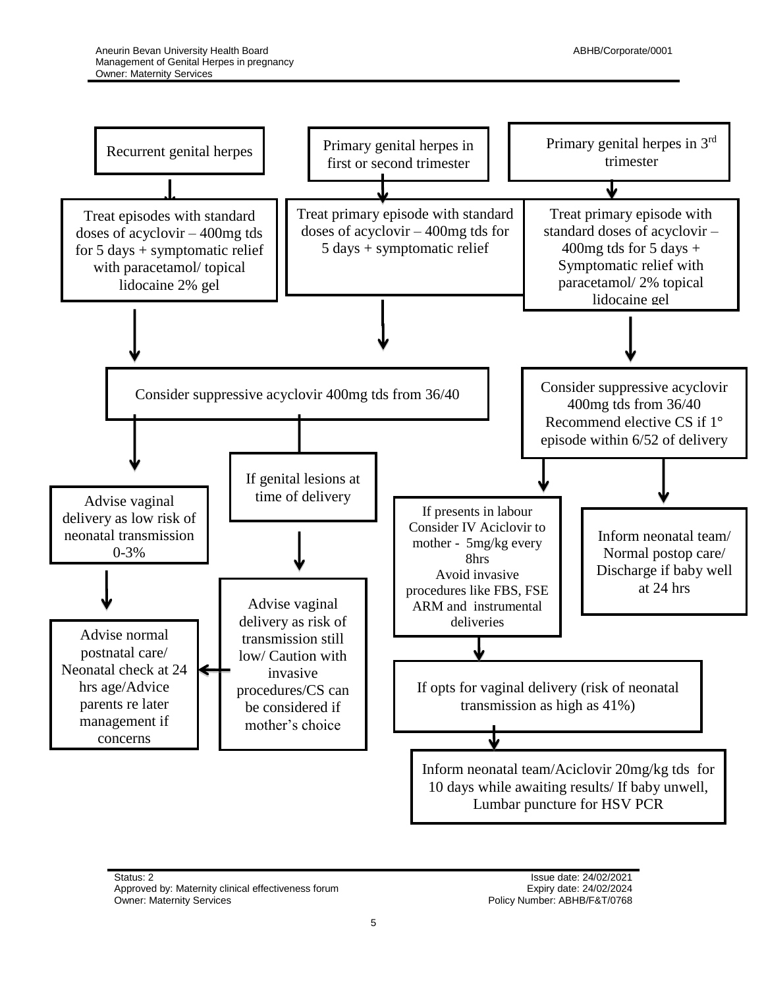

Status: 2 **Issue date: 24/02/2021** Approved by: Maternity clinical effectiveness forum and the state: 24/02/2024<br>Owner: Maternity Services by the Company of the Services of Policy Number: ABHB/F&T/0768

Policy Number: ABHB/F&T/0768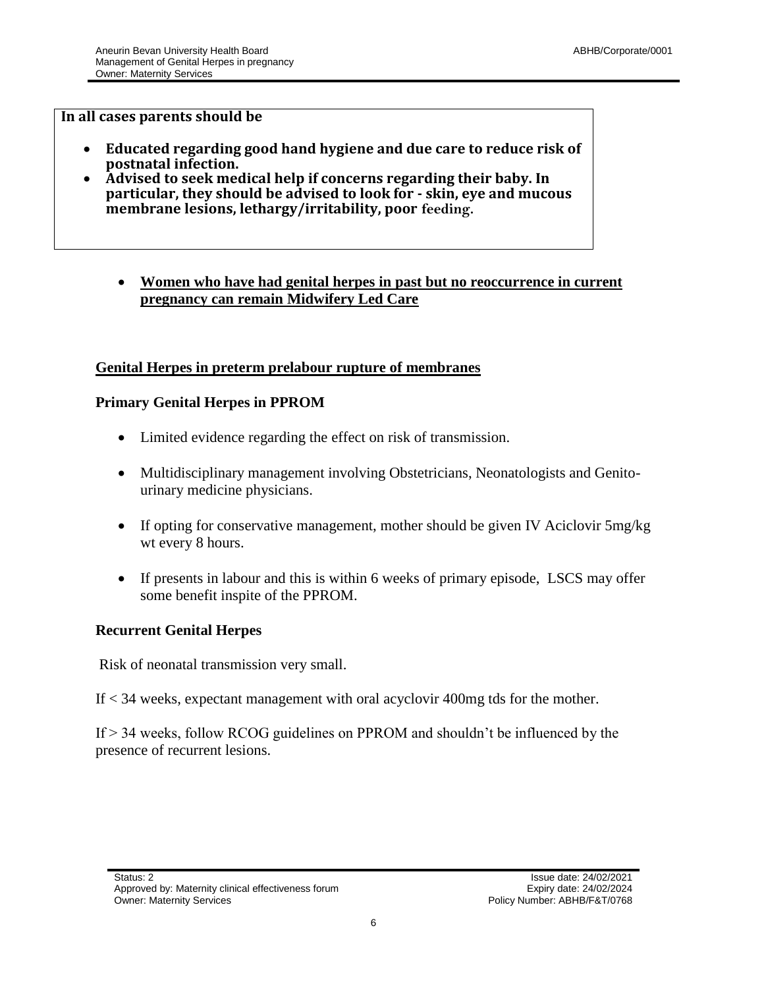#### **In all cases parents should be**

- **Educated regarding good hand hygiene and due care to reduce risk of postnatal infection.**
- **Advised to seek medical help if concerns regarding their baby. In particular, they should be advised to look for - skin, eye and mucous membrane lesions, lethargy/irritability, poor feeding.**

#### **Women who have had genital herpes in past but no reoccurrence in current pregnancy can remain Midwifery Led Care**

#### **Genital Herpes in preterm prelabour rupture of membranes**

#### **Primary Genital Herpes in PPROM**

- Limited evidence regarding the effect on risk of transmission.
- Multidisciplinary management involving Obstetricians, Neonatologists and Genitourinary medicine physicians.
- If opting for conservative management, mother should be given IV Aciclovir 5mg/kg wt every 8 hours.
- If presents in labour and this is within 6 weeks of primary episode, LSCS may offer some benefit inspite of the PPROM.

#### **Recurrent Genital Herpes**

Risk of neonatal transmission very small.

If < 34 weeks, expectant management with oral acyclovir 400mg tds for the mother.

If > 34 weeks, follow RCOG guidelines on PPROM and shouldn't be influenced by the presence of recurrent lesions.